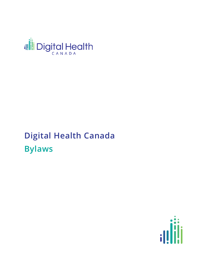

# **Digital Health Canada Bylaws**

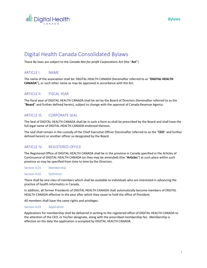

# Digital Health Canada Consolidated Bylaws

These By-laws are subject to the *Canada Not-for-profit Corporations Act* (the "**Act**")

## ARTICLE I. NAME

The name of the association shall be: DIGITAL HEALTH CANADA (hereinafter referred to as "**DIGITAL HEALTH CANADA**"), or such other name as may be approved in accordance with the Act.

## ARTICLE II. FISCAL YEAR

The fiscal year of DIGITAL HEALTH CANADA shall be set by the Board of Directors (hereinafter referred to as the "**Board**" and further defined herein), subject to change with the approval of Canada Revenue Agency.

## ARTICLE III. CORPORATE SEAL

The Seal of DIGITAL HEALTH CANADA shall be in such a form as shall be prescribed by the Board and shall have the full legal name of DIGITAL HEALTH CANADA endorsed thereon.

The seal shall remain in the custody of the Chief Executive Officer (hereinafter referred to as the "**CEO**" and further defined herein) or another officer so designated by the Board.

## ARTICLE IV. REGISTERED OFFICE

The Registered Office of DIGITAL HEALTH CANADA shall be in the province in Canada specified in the Articles of Continuance of DIGITAL HEALTH CANADA (as they may be amended) (the "**Articles**") at such place within such province as may be specified from time to time by the Directors.

Section 4.01 Membership

Section 4.02 Definition

There shall be one class of members which shall be available to individuals who are interested in advancing the practice of health informatics in Canada.

In addition, all former Presidents of DIGITAL HEALTH CANADA shall automatically become members of DIGITAL HEALTH CANADA effective in the year after which they cease to hold the office of President.

All members shall have the same rights and privileges.

#### Section 4.03 Application

Applications for membership shall be delivered in writing to the registered office of DIGITAL HEALTH CANADA to the attention of the CEO, or his/her designate, along with the prescribed membership fee. Membership is effective on the date the application is accepted by DIGITAL HEALTH CANADA.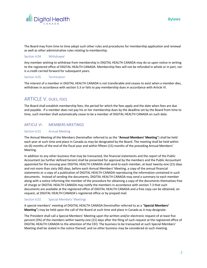

The Board may from time to time adopt such other rules and procedures for membership application and renewal as well as other administrative rules relating to membership.

#### Section 4.04 Withdrawal

Any member wishing to withdraw from membership in DIGITAL HEALTH CANADA may do so upon notice in writing to the registered office of DIGITAL HEALTH CANADA. Membership fees will not be refunded in whole or in part, nor is a credit carried forward for subsequent years.

#### Section 4.05 Termination

The interest of a member in DIGITAL HEALTH CANADA is not transferable and ceases to exist when a member dies, withdraws in accordance with section 5.3 or fails to pay membership dues in accordance with Article VI.

## ARTICLE V. DUES, FEES

The Board shall establish membership fees, the period for which the fees apply and the date when fees are due and payable. If a member does not pay his or her membership dues by the deadline set by the Board from time to time, such member shall automatically cease to be a member of DIGITAL HEALTH CANADA on such date.

## ARTICLE VI. MEMBERS MEETINGS

## Section 6.01 Annual Meeting

The Annual Meeting of the Members (hereinafter referred to as the "**Annual Members' Meeting**") shall be held each year at such time and place in Canada as may be designated by the Board. The meeting shall be held within six (6) months of the end of the fiscal year and within fifteen (15) months of the preceding Annual Members' Meeting.

In addition to any other business that may be transacted, the financial statements and the report of the Public Accountant (as further defined herein) shall be presented for approval by the members and the Public Accountant appointed for the ensuing year DIGITAL HEALTH CANADA shall send to each member, at least twenty-one (21) days and not more than sixty (60) days, before each Annual Members' Meeting, a copy of the annual financial statements or a copy of a publication of DIGITAL HEALTH CANADA reproducing the information contained in such documents. Instead of sending the documents, DIGITAL HEALTH CANADA may send a summary to each member along with a notice informing the member of the procedure for obtaining a copy of the documents themselves free of charge or DIGITAL HEALTH CANADA may notify the members in accordance with section 7.3 that such documents are available at the registered office of DIGITAL HEALTH CANADA and a free copy can be obtained, on request, at DIGITAL HEALTH CANADA's registered office or by prepaid mail.

## Section 6.02 Special Members' Meetings

A special members' meeting of DIGITAL HEALTH CANADA (hereinafter referred to as a "**Special Members' Meeting**") may be held upon the call of the Board at such time and place in Canada as it may designate.

The President shall call a Special Members' Meeting upon the written and/or electronic request of at least five percent (5%) of the members within twenty-one (21) days after the filing of such request at the registered office of DIGITAL HEALTH CANADA to the attention of the CEO. The business to be transacted at such Special Members' Meeting shall be stated in the notice thereof, and no other business may be considered at such meeting.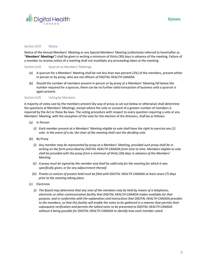

#### Section 6.03 Notice

Notice of the Annual Members' Meeting or any Special Members' Meeting (collectively referred to hereinafter as "**Members' Meetings**") shall be given in writing a minimum of thirty (30) days in advance of the meeting. Failure of a member to receive notice of a meeting shall not invalidate any proceeding taken at the meeting.

#### Section 6.04 Quorum at Members' Meetings

- (a) A quorum for a Members' Meeting shall be not less than two percent (2%) of the members, present either in person or by proxy, who are not officers of DIGITAL HEALTH CANADA.
- (b) Should the number of members present in person or by proxy at a Members' Meeting fall below the number required for a quorum, there can be no further valid transaction of business until a quorum is again present.

#### Section 6.05 Voting by Members

A majority of votes cast by the members present (by way of proxy as set out below or otherwise) shall determine the questions at Members' Meetings, except where the vote or consent of a greater number of members is required by the Act or these By-laws. The voting procedure with respect to every question requiring a vote at any Members' Meeting, with the exception of the vote for the election of the directors, shall be as follows:

- (a) In Person
	- *(i) Each member present at a Members' Meeting eligible to vote shall have the right to exercise one (1) vote. In the event of a tie, the chair of the meeting shall cast the deciding vote.*
- (b) By Proxy
	- *(i) Any member may be represented by proxy at a Members' Meeting, provided such proxy shall be in writing on the form prescribed by DIGITAL HEALTH CANADA from time to time. Members eligible to vote shall be provided with the proxy form a minimum of thirty (30) days in advance of the Members' Meeting.*
	- *(ii) A proxy must be signed by the member and shall be valid only for the meeting for which it was specifically given, or for any adjournment thereof.*
	- *(iii) Proxies or notices of proxies held must be filed with DIGITAL HEALTH CANADA at least seven (7) days prior to the meeting taking place.*
- (c) Electronic
	- *(i) The Board may determine that any vote of the members may be held by means of a telephonic, electronic or other communication facility that DIGITAL HEALTH CANADA makes available for that purpose, and in conformity with the explanation and instructions that DIGITAL HEALTH CANADA provides*  to the members, so that this facility will enable the votes to be gathered in a manner that permits their *subsequent verification and permits the tallied votes to be presented to DIGITAL HEALTH CANADA without it being possible for DIGITAL HEALTH CANADA to identify how each member voted.*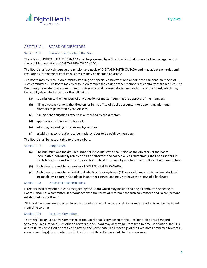

## ARTICLE VII. BOARD OF DIRECTORS

## Section 7.01 Power and Authority of the Board

The affairs of DIGITAL HEALTH CANADA shall be governed by a Board, which shall supervise the management of the activities and affairs of DIGITAL HEALTH CANADA.

The Board shall actively pursue the mission and goals of DIGITAL HEALTH CANADA and may adopt such rules and regulations for the conduct of its business as may be deemed advisable.

The Board may by resolution establish standing and special committees and appoint the chair and members of such committees. The Board may by resolution remove the chair or other members of committees from office. The Board may delegate to any committee or officer any or all powers, duties and authority of the Board, which may be lawfully delegated except for the following:

- (a) submission to the members of any question or matter requiring the approval of the members;
- (b) filling a vacancy among the directors or in the office of public accountant or appointing additional directors as permitted by the Articles;
- (c) issuing debt obligations except as authorized by the directors;
- (d) approving any financial statements;
- (e) adopting, amending or repealing by-laws; or
- (f) establishing contributions to be made, or dues to be paid, by members.

The Board shall be accountable to the members.

#### Section 7.02 Composition

- (a) The minimum and maximum number of individuals who shall serve as the directors of the Board (hereinafter individually referred to as a "**director**" and collectively as "**directors**") shall be as set out in the Articles, the exact number of directors to be determined by resolution of the Board from time to time.
- (b) Each director must be a member of DIGITAL HEALTH CANADA.
- (c) Each director must be an individual who is at least eighteen (18) years old, may not have been declared incapable by a court in Canada or in another country and may not have the status of a bankrupt.

#### Section 7.03 Duties and Responsibilities

Directors shall carry out duties as assigned by the Board which may include chairing a committee or acting as Board Liaison for a committee in accordance with the terms of reference for such committees and liaison persons established by the Board.

All Board members are expected to act in accordance with the code of ethics as may be established by the Board from time to time.

#### Section 7.04 Executive Committee

There shall be an Executive Committee of the Board that is composed of the President, Vice President and Secretary-Treasurer and such other directors as the Board may determine from time to time. In addition, the CEO and Past President shall be entitled to attend and participate in all meetings of the Executive Committee (except in camera meetings), in accordance with the terms of these By-laws, but shall have no vote.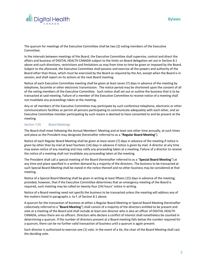



The quorum for meetings of the Executive Committee shall be two (2) voting members of the Executive Committee.

In the intervals between meetings of the Board, the Executive Committee shall supervise, control and direct the affairs and business of DIGITAL HEALTH CANADA subject to the limits on Board delegation set out in Section 8.1 above and such directions, restrictions and limitations as may from time to time be given or imposed by the Board. Subject to the aforesaid, the Executive Committee shall possess and exercise all the powers and authority of the Board other than those, which must be exercised by the Board as required by the Act, except when the Board is in session, and shall report on its actions at the next Board meeting.

Notice of each Executive Committee meeting shall be given at least seven (7) days in advance of the meeting by telephone, facsimile or other electronic transmission. The notice period may be shortened upon the consent of all of the voting members of the Executive Committee. Such notice shall set out or outline the business that is to be transacted at said meeting. Failure of a member of the Executive Committee to receive notice of a meeting shall not invalidate any proceedings taken at the meeting.

Any or all members of the Executive Committee may participate by such conference telephone, electronic or other communications facilities as permit all persons participating to communicate adequately with each other, and an Executive Committee member participating by such means is deemed to have consented to and be present at the meeting.

#### Section 7.05 Board Meetings

The Board shall meet following the Annual Members' Meeting and at least one other time annually, at such times and place as the President may designate (hereinafter referred to as a "**Regular Board Meeting**").

Notice of each Regular Board Meeting shall be given at least seven (7) days in advance of the meeting if notice is given by other than by mail at least fourteen (14) days in advance if notice is given by mail. A director at any time may waive notice of any meeting and may ratify any proceeding taken at a meeting. Failure of a director to receive the notice of a meeting shall not invalidate any proceeding taken at the meeting.

The President shall call a special meeting of the Board (hereinafter referred to as a "**Special Board Meeting**") at any time and place specified in a written demand by a majority of the directors. The business to be transacted at such Special Board Meeting shall be stated in the notice thereof and no other business may be considered at that meeting.

Notice of a Special Board Meeting shall be given in writing at least fifteen (15) days in advance of the meeting; provided, however, that if the Executive Committee determines that an emergency meeting of the Board is required, such meeting may be called on twenty-four (24) hours' notice in writing.

Notice of a Board meeting need not specify the business to be transacted unless the meeting will address any of the matters listed in paragraphs a. to f. of Section 8.1 above.

A quorum for the transaction of business at either a Regular Board Meeting or Special Board Meeting (hereinafter collectively referred to a "**Board Meeting**") shall consist of a majority of the directors entitled to be present and vote at a meeting of the Board and shall include at least one director who is also an officer of DIGITAL HEALTH CANADA, unless there are no officers. Directors who declare a conflict of interest shall nonetheless be counted in determining a quorum. If the number of directors present at a Board meeting falls below the number required for a quorum, there can be no further valid transaction of business until a quorum is again present.

Each director is authorized to exercise one (1) vote. In the event of a tie, the chair of the Board Meeting shall cast the deciding vote.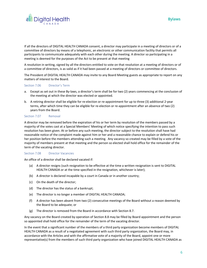

If all the directors of DIGITAL HEALTH CANADA consent, a director may participate in a meeting of directors or of a committee of directors by means of a telephonic, an electronic or other communication facility that permits all participants to communicate adequately with each other during the meeting. A director so participating in a meeting is deemed for the purposes of the Act to be present at that meeting

A resolution in writing, signed by all the directors entitled to vote on that resolution at a meeting of directors or of a committee of directors, is as valid as if it had been passed at a meeting of directors or committee of directors.

The President of DIGITAL HEALTH CANADA may invite to any Board Meeting guests as appropriate to report on any matters of interest to the Board.

#### Section 7.06 Director's Term

- a. Except as set out in these By-laws, a director's term shall be for two (2) years commencing at the conclusion of the meeting at which the director was elected or appointed.
- b. A retiring director shall be eligible for re-election or re-appointment for up to three (3) additional 2-year terms, after which time they can be eligible for re-election or re-appointment after an absence of two (2) years from the Board.

#### Section 7.07 Removal

A director may be removed before the expiration of his or her term by resolution of the members passed by a majority of the votes cast at a Special Members' Meeting of which notice specifying the intention to pass such resolution has been given. At or before any such meeting, the director subject to the resolution shall have had reasonable notice of the complaint made against him or her and a reasonable chance to explain or defend his or her position before the members attending such a meeting. Any vacancy so created may be filled by a vote of the majority of members present at that meeting and the person so elected shall hold office for the remainder of the term of the vacating director.

#### Section 7.08 Director Vacancies

An office of a director shall be declared vacated if:

- (a) A director resigns (such resignation to be effective at the time a written resignation is sent to DIGITAL HEALTH CANADA or at the time specified in the resignation, whichever is later);
- (b) A director is declared incapable by a court in Canada or in another country;
- (c) On the death of the director;
- (d) The director has the status of a bankrupt;
- (e) The director is no longer a member of DIGITAL HEALTH CANADA;
- (f) A director has been absent from two (2) consecutive meetings of the Board without a reason deemed by the Board to be adequate; or
- (g) The director is removed from the Board in accordance with Section 8.7.

Any vacancy on the Board created by operation of Section 8.8 may be filled by Board appointment and the person so appointed shall hold office for the remainder of the term of the vacating director.

In the event that a significant number of the members of a third party organization become members of DIGITAL HEALTH CANADA as a result of a negotiated agreement with such third party organization, the Board may, in accordance with the Articles and with the affirmative vote of a majority of the Board, appoint one or more representative(s) from the members of such third party organization who have joined DIGITAL HEALTH CANADA as

**Bylaws**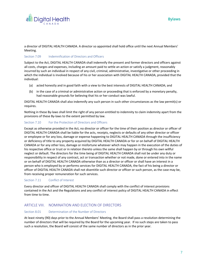

a director of DIGITAL HEALTH CANADA. A director so appointed shall hold office until the next Annual Members' Meeting.

## Section 7.09 **Indemnification of Directors and Officers**

Subject to the Act, DIGITAL HEALTH CANADA shall indemnify the present and former directors and officers against all costs, charges and expenses, including an amount paid to settle an action or satisfy a judgment, reasonably incurred by such an individual in respect of any civil, criminal, administrative, investigative or other proceeding in which the individual is involved because of his or her association with DIGITAL HEALTH CANADA, provided that the individual:

- (a) acted honestly and in good faith with a view to the best interests of DIGITAL HEALTH CANADA; and
- (b) in the case of a criminal or administrative action or proceeding that is enforced by a monetary penalty, had reasonable grounds for believing that his or her conduct was lawful.

DIGITAL HEALTH CANADA shall also indemnify any such person in such other circumstances as the law permit(s) or requires.

Nothing in these By-laws shall limit the right of any person entitled to indemnity to claim indemnity apart from the provisions of these By-laws to the extent permitted by law.

## Section 7.10 For the Protection of Directors and Officers

Except as otherwise provided in the Act, no director or officer for the time of their position as director or officer of DIGITAL HEALTH CANADA shall be liable for the acts, receipts, neglects or defaults of any other director or officer or employee or for any loss, damage or expense happening to DIGITAL HEALTH CANADA through the insufficiency or deficiency of title to any property acquired by DIGITAL HEALTH CANADA or for or on behalf of DIGITAL HEALTH CANADA or for any other loss, damage or misfortune whatever which may happen in the execution of the duties of his respective office or trust or in relation thereto unless the same shall happen by or through his own willful neglect or default. The directors for the time being of DIGITAL HEALTH CANADA shall not be under any duty or responsibility in respect of any contract, act or transaction whether or not made, done or entered into in the name or on behalf of DIGITAL HEALTH CANADA otherwise than as a director or officer or shall have an interest in a person who is employed by or performs services for DIGITAL HEALTH CANADA, the fact of his being a director or officer of DIGITAL HEALTH CANADA shall not disentitle such director or officer or such person, as the case may be, from receiving proper remuneration for such services.

## Section 7.11 Conflict of Interest

Every director and officer of DIGITAL HEALTH CANADA shall comply with the conflict of interest provisions contained in the Act and the Regulations and any conflict of interest policy of DIGITAL HEALTH CANADA in effect from time to time.

## ARTICLE VIII. NOMINATION AND ELECTION OF DIRECTORS

#### Section 8.01 Determination of the Number of Directors

At least ninety (90) days prior to the Annual Members' Meeting, the Board shall pass a resolution determining the number of directors that will be required by the Board for the upcoming year. If no such steps are taken to pass such a resolution, the Board will consist of the same number of directors as in the prior year.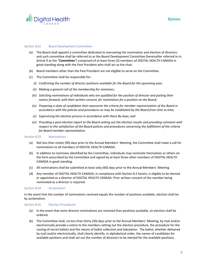

#### Section 8.02 Board Development Committee

- (a) The Board shall appoint a committee dedicated to overseeing the nomination and election of directors and such committee shall be referred to as the Board Development Committee (hereinafter referred to in Article 9 as the "**Committee**") comprised of at least three (3) members of DIGITAL HEALTH CANADA in good standing along with the Past President who shall act as the chair.
- (b) Board members other than the Past President are not eligible to serve on the Committee.
- (c) The Committee shall be responsible for:
	- *(i) Confirming the number of director positions available for the Board for the upcoming year;*
	- *(ii) Making a general call of the membership for nominees;*
	- *(iii) Soliciting nominations of individuals who are qualified for the position of director and putting their names forward, with their written consent, for nomination for a position on the Board;*
	- *(iv) Preparing a slate of candidates that represents the criteria for member representation of the Board in accordance with the policies and procedures as may be established by the Board from time to time;*
	- *(v) Supervising the election process in accordance with these By-laws; and*
	- *(vi) Providing a post-election report to the Board setting out the election results and providing comment with respect to the satisfaction of the Board policies and procedures concerning the fulfillment of the criteria for Board member representation.*

#### Section 8.03 Nominations

- (a) Not less than ninety (90) days prior to the Annual Members' Meeting, the Committee shall make a call for nominations to all members of DIGITAL HEALTH CANADA.
- (b) In addition to nominees identified by the Committee, individuals may nominate themselves or others on the form prescribed by the Committee and signed by at least three other members of DIGITAL HEALTH CANADA in good standing.
- (c) All nominations shall be submitted at least sixty (60) days prior to the Annual Members' Meeting.
- (d) Any member of DIGITAL HEALTH CANADA, in compliance with Section 8.2 herein, is eligible to be elected or appointed as a director of DIGITAL HEALTH CANADA. Prior written consent of the member being nominated as a director is required.

#### Section 8.04 Acclamation

In the event that the number of nominations received equals the number of positions available, election shall be by acclamation.

## Section 8.05 Election Procedures

- (a) In the event that more director nominations are received than positions available, an election shall be ordered.
- (b) The Committee shall, no less than thirty (30) days prior to the Annual Members' Meeting, by mail and/or electronically provide a notice to the members setting out the election procedure, the procedure for the casting of secret ballots and the means of ballot collection and tabulation. The ballot, whether delivered by mail and/or electronically, shall clearly identify, in alphabetical order, the names of candidates for available positions and shall set out the number of directors to be elected for the available positions.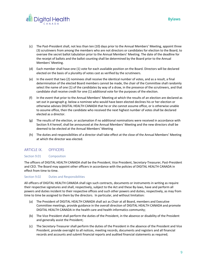



- (c) The Past-President shall, not less than ten (10) days prior to the Annual Members' Meeting, appoint three (3) scrutineers from among the members who are not directors or candidates for election to the Board, to oversee the secret ballot tabulation prior to the Annual Members' Meeting. The date of the deadline for the receipt of ballots and the ballot counting shall be determined by the Board prior to the Annual Members' Meeting.
- (d) Each member shall have one (1) vote for each available position on the Board. Directors will be declared elected on the basis of a plurality of votes cast as verified by the scrutineers.
- (e) In the event that two (2) nominees shall receive the identical number of votes, and as a result, a final determination of the elected Board members cannot be made, the chair of the Committee shall randomly select the name of one (1) of the candidates by way of a draw, in the presence of the scrutineers, and that candidate shall receive credit for one (1) additional vote for the purposes of the election.
- (f) In the event that prior to the Annual Members' Meeting at which the results of an election are declared as set out in paragraph g. below a nominee who would have been elected declines his or her election or otherwise advises DIGITAL HEALTH CANADA that he or she cannot assume office, or is otherwise unable to assume office, then the candidate who received the next highest number of votes shall be declared elected as a director.
- (g) The results of the election, or acclamation if no additional nominations were received in accordance with Section 9.4 hereof, shall be announced at the Annual Members' Meeting and the new directors shall be deemed to be elected at the Annual Members' Meeting
- (h) The duties and responsibilities of a director shall take effect at the close of the Annual Members' Meeting at which the director was elected.

## ARTICLE IX. OFFICERS

## Section 9.01 Composition

The officers of DIGITAL HEALTH CANADA shall be the President, Vice President, Secretary-Treasurer, Past-President and CEO. The Board may appoint other officers in accordance with the policies of DIGITAL HEALTH CANADA in effect from time to time.

## Section 9.02 Duties and Responsibilities

All officers of DIGITAL HEALTH CANADA shall sign such contracts, documents or instruments in writing as require their respective signatures and shall, respectively, subject to the Act and these By-laws, have and perform all powers and duties incident to their respective offices and such other powers and duties, respectively, as may from time to time be assigned to them by the directors. In particular, and without limitation:

- (a) The President of DIGITAL HEALTH CANADA shall act as Chair at all Board, members and Executive Committee meetings, provide guidance in the overall direction of DIGITAL HEALTH CANADA and promote DIGITAL HEALTH CANADA in the health care and health informatics community;
- (b) The Vice President shall perform the duties of the President, in the absence or disability of the President and generally assist the President;
- (c) The Secretary-Treasurer shall perform the duties of the President in the absence of the President and Vice President, provide oversight to all notices, meeting records, documents and registers and all financial records and accounts and submit financial reports and audited financial statements as required;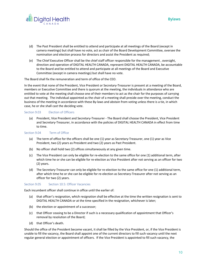



- (d) The Past President shall be entitled to attend and participate at all meetings of the Board (except in camera meetings) but shall have no vote, act as chair of the Board Development Committee, oversee the nomination and election process for directors and assist the President as required;
- (e) The Chief Executive Officer shall be the chief staff officer responsible for the management , oversight, direction and operation of DIGITAL HEALTH CANADA, represent DIGITAL HEALTH CANADA, be accountable to the Board and be entitled to attend and participate at all meetings of the Board and Executive Committee (except in camera meetings) but shall have no vote.

The Board shall fix the remuneration and term of office of the CEO.

In the event that none of the President, Vice President or Secretary-Treasurer is present at a meeting of the Board, members or Executive Committee and there is quorum at the meeting, the individuals in attendance who are entitled to vote at the meeting shall choose one of their members to act as the chair for the purposes of carrying out that meeting. The individual appointed as the chair of a meeting shall preside over the meeting, conduct the business of the meeting in accordance with these By-laws and abstain from voting unless there is a tie, in which case, he or she shall cast the deciding vote.

#### Section 9.03 Election of Officers

(a) President, Vice President and Secretary-Treasurer - The Board shall choose the President, Vice President and Secretary-Treasurer, in accordance with the policies of DIGITAL HEALTH CANADA in effect from time to time.

#### Section 9.04 Term of Office

- (a) The term of office for the officers shall be one (1) year as Secretary-Treasurer, one (1) year as Vice President, two (2) years as President and two (2) years as Past President.
- (b) No officer shall hold two (2) offices simultaneously at any given time.
- (c) The Vice President can only be eligible for re-election to the same office for one (1) additional term, after which time he or she can be eligible for re-election as Vice President after not serving as an officer for two (2) years.
- (d) The Secretary-Treasurer can only be eligible for re-election to the same office for one (1) additional term, after which time he or she can be eligible for re-election as Secretary-Treasurer after not serving as an officer for two (2) years.

## Section 9.05 Section 10.5: Officer Vacancies

Each incumbent officer shall continue in office until the earlier of:

- (a) that officer's resignation, which resignation shall be effective at the time the written resignation is sent to DIGITAL HEALTH CANADA or at the time specified in the resignation, whichever is later;
- (b) the election or appointment of a successor;
- (c) that Officer ceasing to be a Director if such is a necessary qualification of appointment that Officer's removal by resolution of the Board;
- (d) that Officer's death.

Should the office of the President become vacant, it shall be filled by the Vice President, or, if the Vice President is unable to fill the vacancy, the Board shall appoint one of the current directors to fill such vacancy until the next regular general election or appointment of officers. If the Vice President is appointed to fill such vacancy, the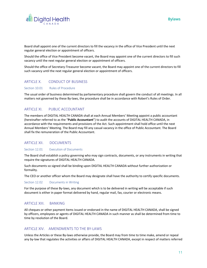

Board shall appoint one of the current directors to fill the vacancy in the office of Vice President until the next regular general election or appointment of officers.

Should the office of Vice President become vacant, the Board may appoint one of the current directors to fill such vacancy until the next regular general election or appointment of officers.

Should the office of Secretary-Treasurer become vacant, the Board may appoint one of the current directors to fill such vacancy until the next regular general election or appointment of officers.

## ARTICLE X. CONDUCT OF BUSINESS

#### Section 10.01 Rules of Procedure

The usual order of business determined by parliamentary procedure shall govern the conduct of all meetings. In all matters not governed by these By-laws, the procedure shall be in accordance with Robert's Rules of Order.

## ARTICLE XI. PUBLIC ACCOUNTANT

The members of DIGITAL HEALTH CANADA shall at each Annual Members' Meeting appoint a public accountant (hereinafter referred to as the "**Public Accountant**") to audit the accounts of DIGITAL HEALTH CANADA, in accordance with the requirements and provisions of the Act. Such appointment shall hold office until the next Annual Members' Meeting. The Board may fill any casual vacancy in the office of Public Accountant. The Board shall fix the remuneration of the Public Accountant.

## ARTICLE XII. DOCUMENTS

#### Section 12.01 Execution of Documents

The Board shall establish a policy governing who may sign contracts, documents, or any instruments in writing that require the signatures of DIGITAL HEALTH CANADA.

Such documents so signed shall be binding upon DIGITAL HEALTH CANADA without further authorization or formality.

The CEO or another officer whom the Board may designate shall have the authority to certify specific documents.

#### Section 12.02 Documents in Writing

For the purpose of these By-laws, any document which is to be delivered in writing will be acceptable if such document is either in paper format delivered by hand, regular mail, fax, courier or electronic means.

## ARTICLE XIII. BANKING

All cheques or other payment items issued or endorsed in the name of DIGITAL HEALTH CANADA, shall be signed by officers, employees or agents of DIGITAL HEALTH CANADA in such manner as shall be determined from time to time by resolution of the Board.

## ARTICLE XIV. AMENDMENTS TO THE BY-LAWS

Unless the Articles or these By-laws otherwise provide, the Board may from time to time make, amend or repeal any by-law that regulates the activities or affairs of DIGITAL HEALTH CANADA, except in respect of matters referred